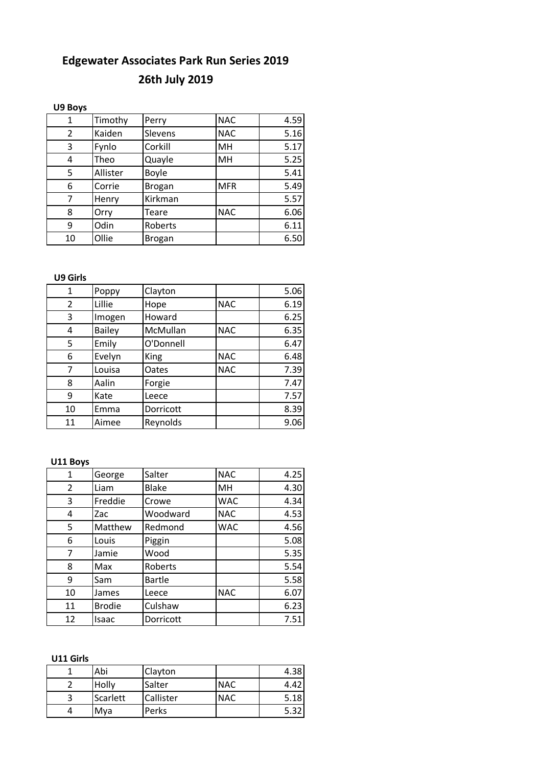#### **26th July 2019**

#### **U9 Boys**

| 1  | Timothy  | Perry         | <b>NAC</b> | 4.59 |
|----|----------|---------------|------------|------|
| 2  | Kaiden   | Slevens       | <b>NAC</b> | 5.16 |
| 3  | Fynlo    | Corkill       | MH         | 5.17 |
| 4  | Theo     | Quayle        | MH         | 5.25 |
| 5  | Allister | Boyle         |            | 5.41 |
| 6  | Corrie   | <b>Brogan</b> | <b>MFR</b> | 5.49 |
| 7  | Henry    | Kirkman       |            | 5.57 |
| 8  | Orry     | Teare         | <b>NAC</b> | 6.06 |
| 9  | Odin     | Roberts       |            | 6.11 |
| 10 | Ollie    | <b>Brogan</b> |            | 6.50 |

**U9 Girls**

| $\mathbf{1}$ | Poppy         | Clayton     |            | 5.06 |
|--------------|---------------|-------------|------------|------|
| 2            | Lillie        | Hope        | <b>NAC</b> | 6.19 |
| 3            | Imogen        | Howard      |            | 6.25 |
| 4            | <b>Bailey</b> | McMullan    | <b>NAC</b> | 6.35 |
| 5            | Emily         | O'Donnell   |            | 6.47 |
| 6            | Evelyn        | <b>King</b> | <b>NAC</b> | 6.48 |
| 7            | Louisa        | Oates       | <b>NAC</b> | 7.39 |
| 8            | Aalin         | Forgie      |            | 7.47 |
| 9            | Kate          | Leece       |            | 7.57 |
| 10           | Emma          | Dorricott   |            | 8.39 |
| 11           | Aimee         | Reynolds    |            | 9.06 |

**U11 Boys**

| $\mathbf{1}$ | George        | Salter        | <b>NAC</b> | 4.25 |
|--------------|---------------|---------------|------------|------|
| 2            | Liam          | <b>Blake</b>  | MH         | 4.30 |
| 3            | Freddie       | Crowe         | <b>WAC</b> | 4.34 |
| 4            | Zac           | Woodward      | <b>NAC</b> | 4.53 |
| 5            | Matthew       | Redmond       | <b>WAC</b> | 4.56 |
| 6            | Louis         | Piggin        |            | 5.08 |
| 7            | Jamie         | Wood          |            | 5.35 |
| 8            | Max           | Roberts       |            | 5.54 |
| 9            | Sam           | <b>Bartle</b> |            | 5.58 |
| 10           | James         | Leece         | <b>NAC</b> | 6.07 |
| 11           | <b>Brodie</b> | Culshaw       |            | 6.23 |
| 12           | Isaac         | Dorricott     |            | 7.51 |

**U11 Girls**

|   | Abi      | Clayton   |            | 4.38 |
|---|----------|-----------|------------|------|
|   | Holly    | Salter    | <b>NAC</b> | 4.42 |
| 3 | Scarlett | Callister | <b>NAC</b> | 5.18 |
|   | Mya      | Perks     |            | 5.32 |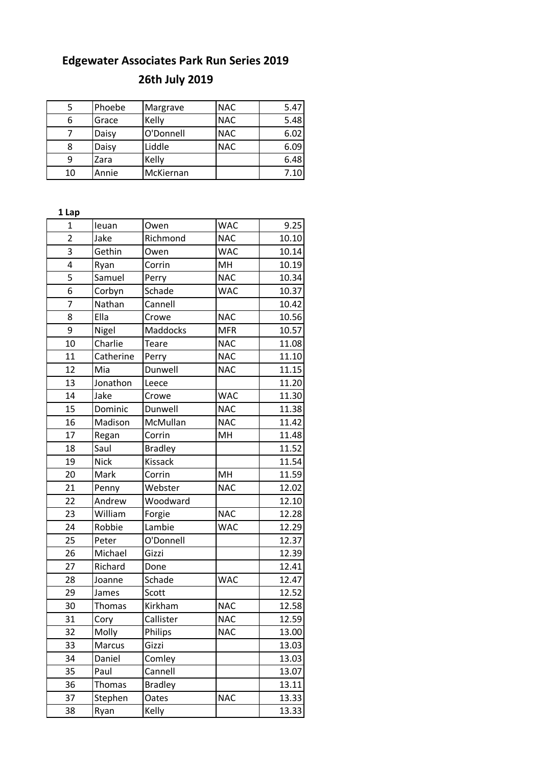## **26th July 2019**

|    | Phoebe | Margrave  | <b>NAC</b> | 5.47 |
|----|--------|-----------|------------|------|
| 6  | Grace  | Kelly     | <b>NAC</b> | 5.48 |
|    | Daisy  | O'Donnell | <b>NAC</b> | 6.02 |
| 8  | Daisy  | Liddle    | <b>NAC</b> | 6.09 |
| 9  | Zara   | Kelly     |            | 6.48 |
| 10 | Annie  | McKiernan |            | 7.10 |

| 1 Lap          |               |                 |            |       |
|----------------|---------------|-----------------|------------|-------|
| $\mathbf{1}$   | leuan         | Owen            | <b>WAC</b> | 9.25  |
| $\overline{2}$ | Jake          | Richmond        | <b>NAC</b> | 10.10 |
| 3              | Gethin        | Owen            | <b>WAC</b> | 10.14 |
| 4              | Ryan          | Corrin          | MH         | 10.19 |
| 5              | Samuel        | Perry           | <b>NAC</b> | 10.34 |
| 6              | Corbyn        | Schade          | <b>WAC</b> | 10.37 |
| $\overline{7}$ | Nathan        | Cannell         |            | 10.42 |
| 8              | Ella          | Crowe           | <b>NAC</b> | 10.56 |
| 9              | Nigel         | <b>Maddocks</b> | <b>MFR</b> | 10.57 |
| 10             | Charlie       | <b>Teare</b>    | <b>NAC</b> | 11.08 |
| 11             | Catherine     | Perry           | <b>NAC</b> | 11.10 |
| 12             | Mia           | Dunwell         | <b>NAC</b> | 11.15 |
| 13             | Jonathon      | Leece           |            | 11.20 |
| 14             | Jake          | Crowe           | <b>WAC</b> | 11.30 |
| 15             | Dominic       | Dunwell         | <b>NAC</b> | 11.38 |
| 16             | Madison       | McMullan        | <b>NAC</b> | 11.42 |
| 17             | Regan         | Corrin          | MH         | 11.48 |
| 18             | Saul          | <b>Bradley</b>  |            | 11.52 |
| 19             | <b>Nick</b>   | <b>Kissack</b>  |            | 11.54 |
| 20             | Mark          | Corrin          | MH         | 11.59 |
| 21             | Penny         | Webster         | <b>NAC</b> | 12.02 |
| 22             | Andrew        | Woodward        |            | 12.10 |
| 23             | William       | Forgie          | <b>NAC</b> | 12.28 |
| 24             | Robbie        | Lambie          | <b>WAC</b> | 12.29 |
| 25             | Peter         | O'Donnell       |            | 12.37 |
| 26             | Michael       | Gizzi           |            | 12.39 |
| 27             | Richard       | Done            |            | 12.41 |
| 28             | Joanne        | Schade          | <b>WAC</b> | 12.47 |
| 29             | James         | Scott           |            | 12.52 |
| 30             | Thomas        | Kirkham         | <b>NAC</b> | 12.58 |
| 31             | Cory          | Callister       | <b>NAC</b> | 12.59 |
| 32             | Molly         | Philips         | <b>NAC</b> | 13.00 |
| 33             | Marcus        | Gizzi           |            | 13.03 |
| 34             | Daniel        | Comley          |            | 13.03 |
| 35             | Paul          | Cannell         |            | 13.07 |
| 36             | <b>Thomas</b> | <b>Bradley</b>  |            | 13.11 |
| 37             | Stephen       | Oates           | <b>NAC</b> | 13.33 |
| 38             | Ryan          | Kelly           |            | 13.33 |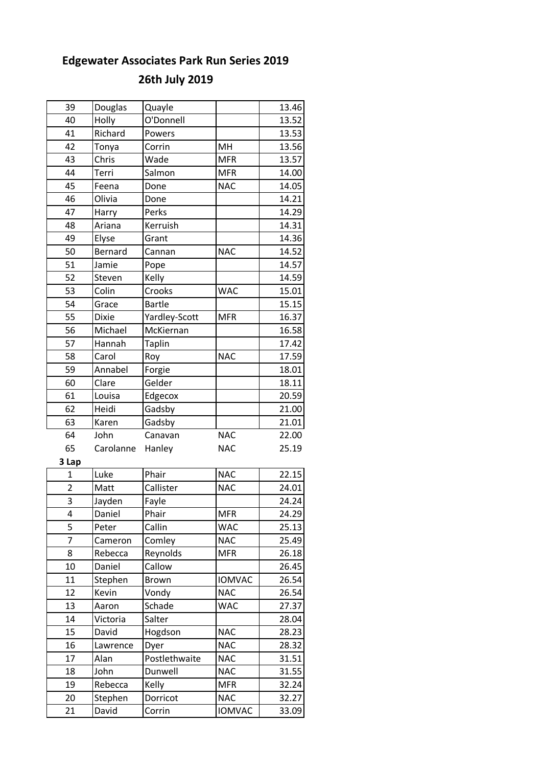# **26th July 2019**

| 39             | Douglas      | Quayle        |               | 13.46 |
|----------------|--------------|---------------|---------------|-------|
| 40             | Holly        | O'Donnell     |               | 13.52 |
| 41             | Richard      | Powers        |               | 13.53 |
| 42             | Tonya        | Corrin        | MH            | 13.56 |
| 43             | Chris        | Wade          | <b>MFR</b>    | 13.57 |
| 44             | Terri        | Salmon        | <b>MFR</b>    | 14.00 |
| 45             | Feena        | Done          | <b>NAC</b>    | 14.05 |
| 46             | Olivia       | Done          |               | 14.21 |
| 47             | Harry        | Perks         |               | 14.29 |
| 48             | Ariana       | Kerruish      |               | 14.31 |
| 49             | Elyse        | Grant         |               | 14.36 |
| 50             | Bernard      | Cannan        | <b>NAC</b>    | 14.52 |
| 51             | Jamie        | Pope          |               | 14.57 |
| 52             | Steven       | Kelly         |               | 14.59 |
| 53             | Colin        | Crooks        | <b>WAC</b>    | 15.01 |
| 54             | Grace        | <b>Bartle</b> |               | 15.15 |
| 55             | <b>Dixie</b> | Yardley-Scott | <b>MFR</b>    | 16.37 |
| 56             | Michael      | McKiernan     |               | 16.58 |
| 57             | Hannah       | <b>Taplin</b> |               | 17.42 |
| 58             | Carol        | Roy           | <b>NAC</b>    | 17.59 |
| 59             | Annabel      | Forgie        |               | 18.01 |
| 60             | Clare        | Gelder        |               | 18.11 |
| 61             | Louisa       | Edgecox       |               | 20.59 |
| 62             | Heidi        | Gadsby        |               | 21.00 |
| 63             | Karen        | Gadsby        |               | 21.01 |
| 64             | John         | Canavan       | <b>NAC</b>    | 22.00 |
| 65             | Carolanne    | Hanley        | <b>NAC</b>    | 25.19 |
| 3 Lap          |              |               |               |       |
| $\mathbf{1}$   | Luke         | Phair         | <b>NAC</b>    | 22.15 |
| $\overline{2}$ | Matt         | Callister     | <b>NAC</b>    | 24.01 |
| 3              | Jayden       | Fayle         |               | 24.24 |
| 4              | Daniel       | Phair         | <b>MFR</b>    | 24.29 |
| 5              | Peter        | Callin        | <b>WAC</b>    | 25.13 |
| 7              | Cameron      | Comley        | <b>NAC</b>    | 25.49 |
| 8              | Rebecca      | Reynolds      | <b>MFR</b>    | 26.18 |
| 10             | Daniel       | Callow        |               | 26.45 |
| 11             | Stephen      | Brown         | <b>IOMVAC</b> | 26.54 |
| 12             | Kevin        | Vondy         | <b>NAC</b>    | 26.54 |
| 13             | Aaron        | Schade        | <b>WAC</b>    | 27.37 |
| 14             | Victoria     | Salter        |               | 28.04 |
| 15             | David        | Hogdson       | <b>NAC</b>    | 28.23 |
| 16             | Lawrence     | Dyer          | <b>NAC</b>    | 28.32 |
| 17             | Alan         | Postlethwaite | <b>NAC</b>    | 31.51 |
| 18             | John         | Dunwell       | <b>NAC</b>    | 31.55 |
| 19             | Rebecca      | Kelly         | <b>MFR</b>    | 32.24 |
| 20             | Stephen      | Dorricot      | <b>NAC</b>    | 32.27 |
| 21             | David        | Corrin        | <b>IOMVAC</b> | 33.09 |